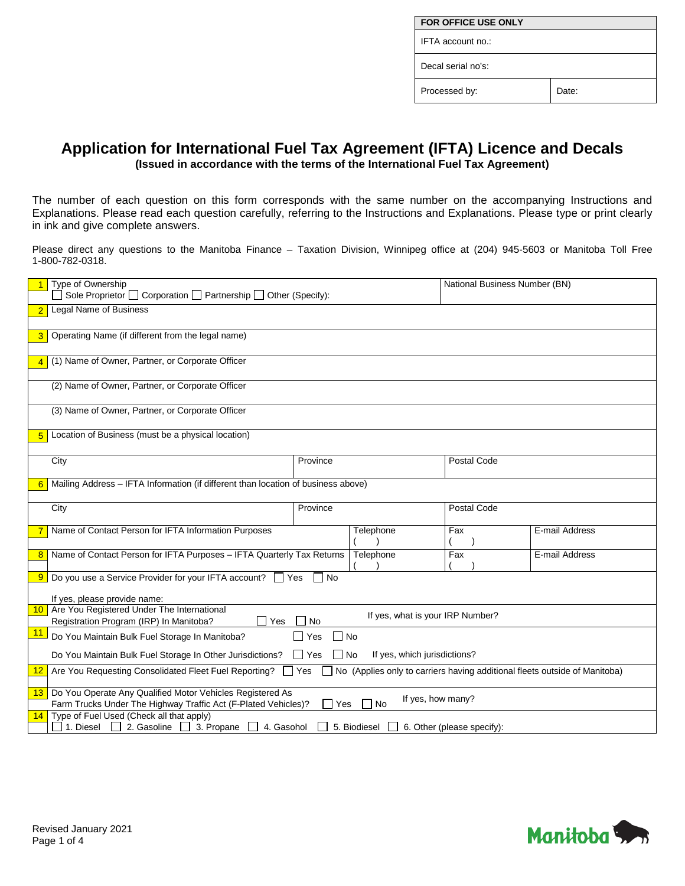| <b>FOR OFFICE USE ONLY</b> |       |  |  |
|----------------------------|-------|--|--|
| IFTA account no.:          |       |  |  |
| Decal serial no's:         |       |  |  |
| Processed by:              | Date: |  |  |

## **Application for International Fuel Tax Agreement (IFTA) Licence and Decals**

**(Issued in accordance with the terms of the International Fuel Tax Agreement)**

The number of each question on this form corresponds with the same number on the accompanying Instructions and Explanations. Please read each question carefully, referring to the Instructions and Explanations. Please type or print clearly in ink and give complete answers.

Please direct any questions to the Manitoba Finance – Taxation Division, Winnipeg office at (204) 945-5603 or Manitoba Toll Free 1-800-782-0318.

| Type of Ownership                                                                                                                                                                              |          | National Business Number (BN)    |                            |                |  |
|------------------------------------------------------------------------------------------------------------------------------------------------------------------------------------------------|----------|----------------------------------|----------------------------|----------------|--|
| $\Box$ Sole Proprietor $\Box$ Corporation $\Box$ Partnership $\Box$ Other (Specify):                                                                                                           |          |                                  |                            |                |  |
| Legal Name of Business<br>$\overline{2}$                                                                                                                                                       |          |                                  |                            |                |  |
|                                                                                                                                                                                                |          |                                  |                            |                |  |
| Operating Name (if different from the legal name)<br>3 <sup>1</sup>                                                                                                                            |          |                                  |                            |                |  |
|                                                                                                                                                                                                |          |                                  |                            |                |  |
| (1) Name of Owner, Partner, or Corporate Officer<br>$\overline{4}$                                                                                                                             |          |                                  |                            |                |  |
|                                                                                                                                                                                                |          |                                  |                            |                |  |
| (2) Name of Owner, Partner, or Corporate Officer                                                                                                                                               |          |                                  |                            |                |  |
|                                                                                                                                                                                                |          |                                  |                            |                |  |
| (3) Name of Owner, Partner, or Corporate Officer                                                                                                                                               |          |                                  |                            |                |  |
|                                                                                                                                                                                                |          |                                  |                            |                |  |
| Location of Business (must be a physical location)<br>5                                                                                                                                        |          |                                  |                            |                |  |
|                                                                                                                                                                                                |          |                                  |                            |                |  |
| City                                                                                                                                                                                           | Province |                                  | <b>Postal Code</b>         |                |  |
|                                                                                                                                                                                                |          |                                  |                            |                |  |
| Mailing Address - IFTA Information (if different than location of business above)<br>6                                                                                                         |          |                                  |                            |                |  |
|                                                                                                                                                                                                |          |                                  |                            |                |  |
| City                                                                                                                                                                                           | Province |                                  | Postal Code                |                |  |
|                                                                                                                                                                                                |          |                                  |                            |                |  |
| Name of Contact Person for IFTA Information Purposes<br>7                                                                                                                                      |          | Telephone                        | Fax                        | E-mail Address |  |
| Name of Contact Person for IFTA Purposes - IFTA Quarterly Tax Returns<br>8                                                                                                                     |          | Telephone                        | Fax                        | E-mail Address |  |
|                                                                                                                                                                                                |          |                                  |                            |                |  |
| <b>9</b> Do you use a Service Provider for your IFTA account? $\Box$ Yes                                                                                                                       | No       |                                  |                            |                |  |
|                                                                                                                                                                                                |          |                                  |                            |                |  |
| If yes, please provide name:                                                                                                                                                                   |          |                                  |                            |                |  |
| Are You Registered Under The International<br>10 <sup>1</sup>                                                                                                                                  |          | If yes, what is your IRP Number? |                            |                |  |
| Registration Program (IRP) In Manitoba?<br>Yes                                                                                                                                                 | No       |                                  |                            |                |  |
| <u> 11</u><br>∩ No<br>Do You Maintain Bulk Fuel Storage In Manitoba?<br>Yes                                                                                                                    |          |                                  |                            |                |  |
|                                                                                                                                                                                                |          |                                  |                            |                |  |
| If yes, which jurisdictions?<br>Do You Maintain Bulk Fuel Storage In Other Jurisdictions?<br>$\Box$ Yes<br>$\Box$ No                                                                           |          |                                  |                            |                |  |
| No (Applies only to carriers having additional fleets outside of Manitoba)<br>Are You Requesting Consolidated Fleet Fuel Reporting? Ves<br><u>12</u>                                           |          |                                  |                            |                |  |
|                                                                                                                                                                                                |          |                                  |                            |                |  |
| 13 Do You Operate Any Qualified Motor Vehicles Registered As<br>If yes, how many?<br>Farm Trucks Under The Highway Traffic Act (F-Plated Vehicles)?<br>П<br>Yes<br>$\overline{\phantom{a}}$ No |          |                                  |                            |                |  |
| Type of Fuel Used (Check all that apply)<br>14                                                                                                                                                 |          |                                  |                            |                |  |
| 1. Diesel 2. Gasoline 3. Propane<br>4. Gasohol                                                                                                                                                 |          | 5. Biodiesel                     | 6. Other (please specify): |                |  |

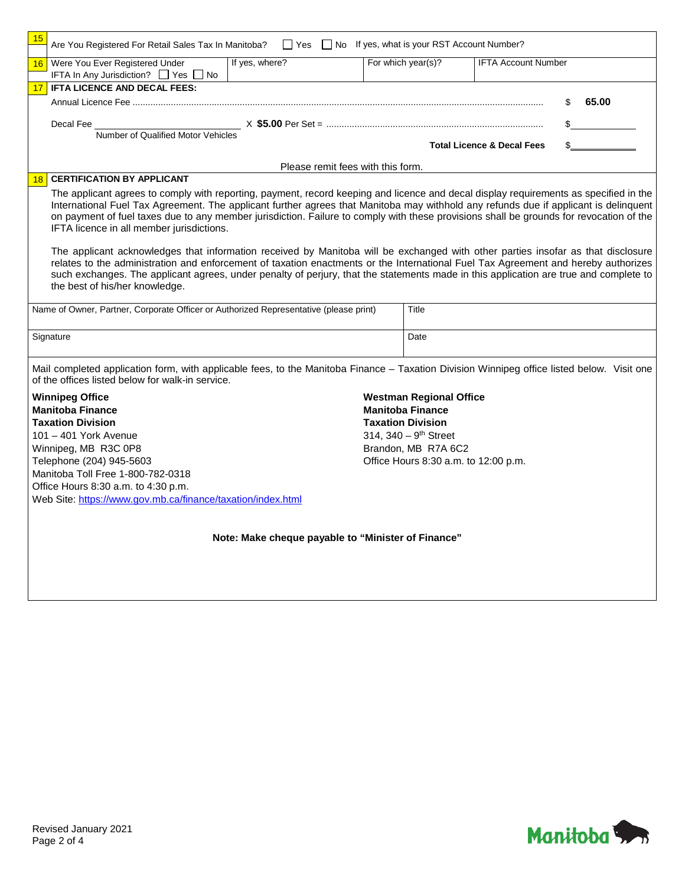| 15                                | Are You Registered For Retail Sales Tax In Manitoba?<br><br>Yes  No If yes, what is your RST Account Number?                                                                                                                        |                |                    |                                       |  |
|-----------------------------------|-------------------------------------------------------------------------------------------------------------------------------------------------------------------------------------------------------------------------------------|----------------|--------------------|---------------------------------------|--|
| 16                                | Were You Ever Registered Under                                                                                                                                                                                                      | If yes, where? | For which year(s)? | <b>IFTA Account Number</b>            |  |
|                                   | IFTA In Any Jurisdiction? □ Yes □ No                                                                                                                                                                                                |                |                    |                                       |  |
|                                   | <b>IFTA LICENCE AND DECAL FEES:</b>                                                                                                                                                                                                 |                |                    |                                       |  |
|                                   |                                                                                                                                                                                                                                     |                |                    | 65.00                                 |  |
|                                   | Decal Fee <b>Example 20</b> Second Second Second Second Second Second Second Second Second Second Second Second Second Second Second Second Second Second Second Second Second Second Second Second Second Second Second Second Sec |                |                    |                                       |  |
|                                   | Number of Qualified Motor Vehicles                                                                                                                                                                                                  |                |                    |                                       |  |
|                                   |                                                                                                                                                                                                                                     |                |                    | <b>Total Licence &amp; Decal Fees</b> |  |
| Please remit fees with this form. |                                                                                                                                                                                                                                     |                |                    |                                       |  |

## 18 **CERTIFICATION BY APPLICANT**

The applicant agrees to comply with reporting, payment, record keeping and licence and decal display requirements as specified in the International Fuel Tax Agreement. The applicant further agrees that Manitoba may withhold any refunds due if applicant is delinquent on payment of fuel taxes due to any member jurisdiction. Failure to comply with these provisions shall be grounds for revocation of the IFTA licence in all member jurisdictions.

The applicant acknowledges that information received by Manitoba will be exchanged with other parties insofar as that disclosure relates to the administration and enforcement of taxation enactments or the International Fuel Tax Agreement and hereby authorizes such exchanges. The applicant agrees, under penalty of perjury, that the statements made in this application are true and complete to the best of his/her knowledge.

| Name of Owner, Partner, Corporate Officer or Authorized Representative (please print) | Title |
|---------------------------------------------------------------------------------------|-------|
| Signature                                                                             | Date  |

Mail completed application form, with applicable fees, to the Manitoba Finance – Taxation Division Winnipeg office listed below. Visit one of the offices listed below for walk-in service.

**Winnipeg Office Manitoba Finance Taxation Division** 101 – 401 York Avenue Winnipeg, MB R3C 0P8 Telephone (204) 945-5603 Manitoba Toll Free 1-800-782-0318 Office Hours 8:30 a.m. to 4:30 p.m. Web Site:<https://www.gov.mb.ca/finance/taxation/index.html> **Westman Regional Office Manitoba Finance Taxation Division** 314,  $340 - 9$ <sup>th</sup> Street Brandon, MB R7A 6C2 Office Hours 8:30 a.m. to 12:00 p.m.

**Note: Make cheque payable to "Minister of Finance"**

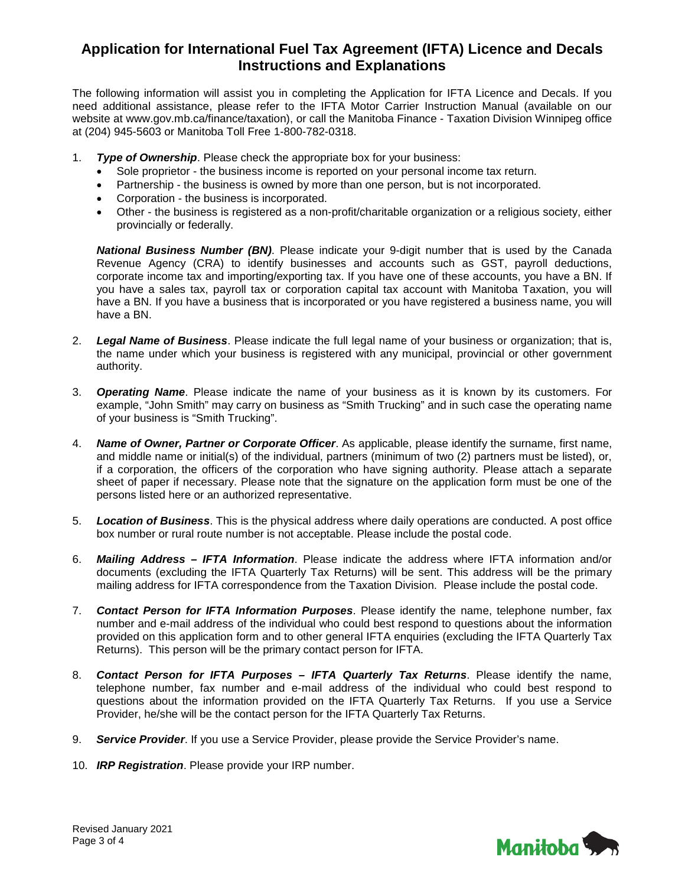## **Application for International Fuel Tax Agreement (IFTA) Licence and Decals Instructions and Explanations**

The following information will assist you in completing the Application for IFTA Licence and Decals. If you need additional assistance, please refer to the IFTA Motor Carrier Instruction Manual (available on our website at www.gov.mb.ca/finance/taxation), or call the Manitoba Finance - Taxation Division Winnipeg office at (204) 945-5603 or Manitoba Toll Free 1-800-782-0318.

- 1. *Type of Ownership*. Please check the appropriate box for your business:
	- Sole proprietor the business income is reported on your personal income tax return.
	- Partnership the business is owned by more than one person, but is not incorporated.
	- Corporation the business is incorporated.
	- Other the business is registered as a non-profit/charitable organization or a religious society, either provincially or federally.

**National Business Number (BN)**. Please indicate your 9-digit number that is used by the Canada Revenue Agency (CRA) to identify businesses and accounts such as GST, payroll deductions, corporate income tax and importing/exporting tax. If you have one of these accounts, you have a BN. If you have a sales tax, payroll tax or corporation capital tax account with Manitoba Taxation, you will have a BN. If you have a business that is incorporated or you have registered a business name, you will have a BN.

- 2. *Legal Name of Business*. Please indicate the full legal name of your business or organization; that is, the name under which your business is registered with any municipal, provincial or other government authority.
- 3. *Operating Name*. Please indicate the name of your business as it is known by its customers. For example, "John Smith" may carry on business as "Smith Trucking" and in such case the operating name of your business is "Smith Trucking".
- 4. *Name of Owner, Partner or Corporate Officer*. As applicable, please identify the surname, first name, and middle name or initial(s) of the individual, partners (minimum of two (2) partners must be listed), or, if a corporation, the officers of the corporation who have signing authority. Please attach a separate sheet of paper if necessary. Please note that the signature on the application form must be one of the persons listed here or an authorized representative.
- 5. *Location of Business*. This is the physical address where daily operations are conducted. A post office box number or rural route number is not acceptable. Please include the postal code.
- 6. *Mailing Address – IFTA Information*. Please indicate the address where IFTA information and/or documents (excluding the IFTA Quarterly Tax Returns) will be sent. This address will be the primary mailing address for IFTA correspondence from the Taxation Division. Please include the postal code.
- 7. *Contact Person for IFTA Information Purposes*. Please identify the name, telephone number, fax number and e-mail address of the individual who could best respond to questions about the information provided on this application form and to other general IFTA enquiries (excluding the IFTA Quarterly Tax Returns). This person will be the primary contact person for IFTA.
- 8. *Contact Person for IFTA Purposes – IFTA Quarterly Tax Returns*. Please identify the name, telephone number, fax number and e-mail address of the individual who could best respond to questions about the information provided on the IFTA Quarterly Tax Returns. If you use a Service Provider, he/she will be the contact person for the IFTA Quarterly Tax Returns.
- 9. *Service Provider*. If you use a Service Provider, please provide the Service Provider's name.
- 10. *IRP Registration*. Please provide your IRP number.